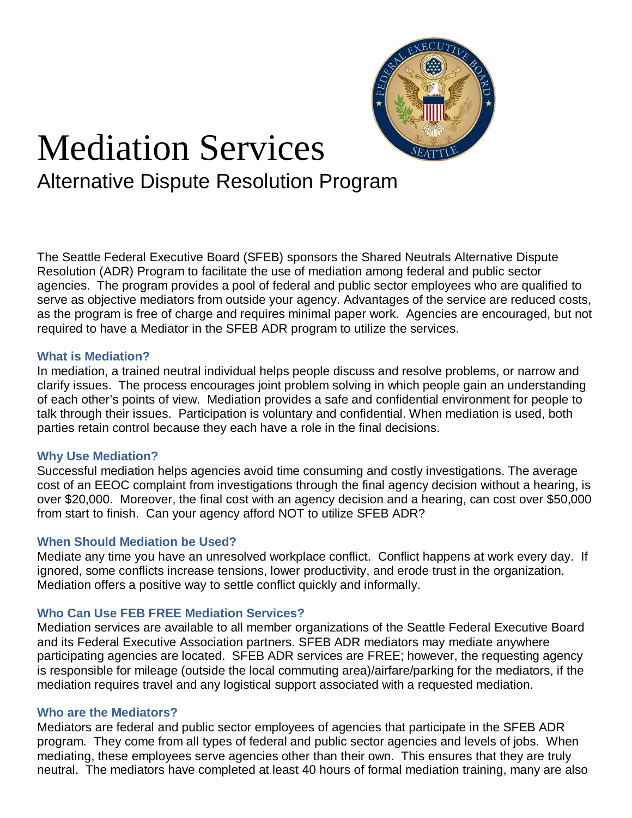

# Mediation Services

Alternative Dispute Resolution Program

The Seattle Federal Executive Board (SFEB) sponsors the Shared Neutrals Alternative Dispute Resolution (ADR) Program to facilitate the use of mediation among federal and public sector agencies. The program provides a pool of federal and public sector employees who are qualified to serve as objective mediators from outside your agency. Advantages of the service are reduced costs, as the program is free of charge and requires minimal paper work. Agencies are encouraged, but not required to have a Mediator in the SFEB ADR program to utilize the services.

#### **What is Mediation?**

In mediation, a trained neutral individual helps people discuss and resolve problems, or narrow and clarify issues. The process encourages joint problem solving in which people gain an understanding of each other's points of view. Mediation provides a safe and confidential environment for people to talk through their issues. Participation is voluntary and confidential. When mediation is used, both parties retain control because they each have a role in the final decisions.

#### **Why Use Mediation?**

Successful mediation helps agencies avoid time consuming and costly investigations. The average cost of an EEOC complaint from investigations through the final agency decision without a hearing, is over \$20,000. Moreover, the final cost with an agency decision and a hearing, can cost over \$50,000 from start to finish. Can your agency afford NOT to utilize SFEB ADR?

## **When Should Mediation be Used?**

Mediate any time you have an unresolved workplace conflict. Conflict happens at work every day. If ignored, some conflicts increase tensions, lower productivity, and erode trust in the organization. Mediation offers a positive way to settle conflict quickly and informally.

## **Who Can Use FEB FREE Mediation Services?**

Mediation services are available to all member organizations of the Seattle Federal Executive Board and its Federal Executive Association partners. SFEB ADR mediators may mediate anywhere participating agencies are located. SFEB ADR services are FREE; however, the requesting agency is responsible for mileage (outside the local commuting area)/airfare/parking for the mediators, if the mediation requires travel and any logistical support associated with a requested mediation.

#### **Who are the Mediators?**

Mediators are federal and public sector employees of agencies that participate in the SFEB ADR program. They come from all types of federal and public sector agencies and levels of jobs. When mediating, these employees serve agencies other than their own. This ensures that they are truly neutral. The mediators have completed at least 40 hours of formal mediation training, many are also